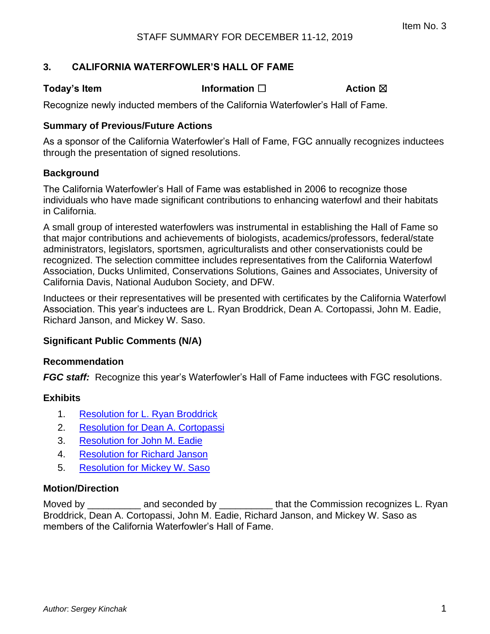### **3. CALIFORNIA WATERFOWLER'S HALL OF FAME**

**Today's Item Information □ Action ⊠** 

Recognize newly inducted members of the California Waterfowler's Hall of Fame.

#### **Summary of Previous/Future Actions**

As a sponsor of the California Waterfowler's Hall of Fame, FGC annually recognizes inductees through the presentation of signed resolutions.

### **Background**

The California Waterfowler's Hall of Fame was established in 2006 to recognize those individuals who have made significant contributions to enhancing waterfowl and their habitats in California.

A small group of interested waterfowlers was instrumental in establishing the Hall of Fame so that major contributions and achievements of biologists, academics/professors, federal/state administrators, legislators, sportsmen, agriculturalists and other conservationists could be recognized. The selection committee includes representatives from the California Waterfowl Association, Ducks Unlimited, Conservations Solutions, Gaines and Associates, University of California Davis, National Audubon Society, and DFW.

Inductees or their representatives will be presented with certificates by the California Waterfowl Association. This year's inductees are L. Ryan Broddrick, Dean A. Cortopassi, John M. Eadie, Richard Janson, and Mickey W. Saso.

#### **Significant Public Comments (N/A)**

#### **Recommendation**

**FGC staff:** Recognize this year's Waterfowler's Hall of Fame inductees with FGC resolutions.

#### **Exhibits**

- 1. [Resolution for L. Ryan Broddrick](#page-1-0)
- 2. [Resolution for Dean A. Cortopassi](#page-2-0)
- 3. [Resolution for John M. Eadie](#page-3-0)
- 4. [Resolution for Richard Janson](#page-4-0)
- 5. [Resolution for Mickey W. Saso](#page-5-0)

#### **Motion/Direction**

Moved by **EXACTE and seconded by EXACTE and seconded by** that the Commission recognizes L. Ryan Broddrick, Dean A. Cortopassi, John M. Eadie, Richard Janson, and Mickey W. Saso as members of the California Waterfowler's Hall of Fame.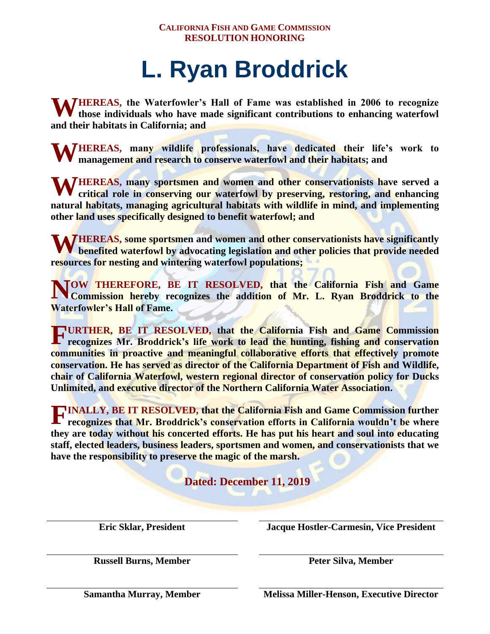## **L. Ryan Broddrick**

<span id="page-1-0"></span>**WHEREAS**, the Waterfowler's Hall of Fame was established in 2006 to recognize those individuals who have made significant contributions to enhancing waterfowl **those individuals who have made significant contributions to enhancing waterfowl and their habitats in California; and**

**WHEREAS, many wildlife professionals, have dedicated their life's work to management and research to conserve waterfowl and their habitats; and management and research to conserve waterfowl and their habitats; and**

WHEREAS, many sportsmen and women and other conservationists have served a critical role in conserving our waterfowl by preserving, restoring, and enhancing **critical role in conserving our waterfowl by preserving, restoring, and enhancing natural habitats, managing agricultural habitats with wildlife in mind, and implementing other land uses specifically designed to benefit waterfowl; and**

**WEREAS, some sportsmen and women and other conservationists have significantly benefited waterfowl by advocating legislation and other policies that provide needed benefited waterfowl by advocating legislation and other policies that provide needed resources for nesting and wintering waterfowl populations;**

**OW THEREFORE, BE IT RESOLVED, that the California Fish and Game** Commission hereby recognizes the addition of Mr. L. Ryan Broddrick to the **Commission hereby recognizes the addition of Mr. L. Ryan Broddrick to the Waterfowler's Hall of Fame.**

**URTHER, BE IT RESOLVED, that the California Fish and Game Commission F recognizes Mr. Broddrick's life work to lead the hunting, fishing and conservation communities in proactive and meaningful collaborative efforts that effectively promote conservation. He has served as director of the California Department of Fish and Wildlife, chair of California Waterfowl, western regional director of conservation policy for Ducks Unlimited, and executive director of the Northern California Water Association.**

**INALLY, BE IT RESOLVED, that the California Fish and Game Commission further recognizes that Mr. Broddrick's conservation efforts in California wouldn't be where recognizes that Mr. Broddrick's conservation efforts in California wouldn't be where they are today without his concerted efforts. He has put his heart and soul into educating staff, elected leaders, business leaders, sportsmen and women, and conservationists that we have the responsibility to preserve the magic of the marsh.**

**Dated: December 11, 2019**

**Eric Sklar, President Jacque Hostler-Carmesin, Vice President**

**Russell Burns, Member Peter Silva, Member**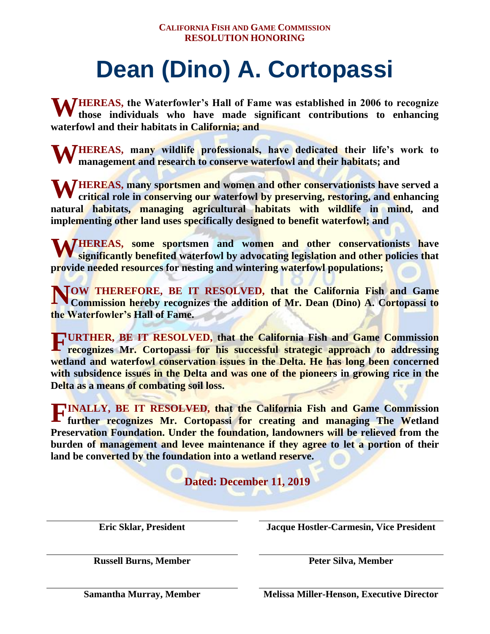# **Dean (Dino) A. Cortopassi**

<span id="page-2-0"></span>**WHEREAS, the Waterfowler's Hall of Fame was established in 2006 to recognize those individuals who have made significant contributions to enhancing those individuals who have made significant contributions to enhancing waterfowl and their habitats in California; and**

**WHEREAS, many wildlife professionals, have dedicated their life's work to management and research to conserve waterfowl and their habitats; and management and research to conserve waterfowl and their habitats; and**

WHEREAS, many sportsmen and women and other conservationists have served a critical role in conserving our waterfowl by preserving, restoring, and enhancing **critical role in conserving our waterfowl by preserving, restoring, and enhancing natural habitats, managing agricultural habitats with wildlife in mind, and implementing other land uses specifically designed to benefit waterfowl; and**

**WEREAS, some sportsmen and women and other conservationists have significantly benefited waterfowl by advocating legislation and other policies that significantly benefited waterfowl by advocating legislation and other policies that provide needed resources for nesting and wintering waterfowl populations;**

**OW THEREFORE, BE IT RESOLVED, that the California Fish and Game Commission hereby recognizes the addition of Mr. Dean (Dino) A. Cortopassi to Commission hereby recognizes the addition of Mr. Dean (Dino) A. Cortopassi to the Waterfowler's Hall of Fame.**

**URTHER, BE IT RESOLVED, that the California Fish and Game Commission F recognizes Mr. Cortopassi for his successful strategic approach to addressing wetland and waterfowl conservation issues in the Delta. He has long been concerned with subsidence issues in the Delta and was one of the pioneers in growing rice in the Delta as a means of combating soil loss.**

**INALLY, BE IT RESOLVED, that the California Fish and Game Commission further recognizes Mr. Cortopassi for creating and managing The Wetland further recognizes Mr. Cortopassi for creating and managing The Wetland Preservation Foundation. Under the foundation, landowners will be relieved from the burden of management and levee maintenance if they agree to let a portion of their land be converted by the foundation into a wetland reserve.**

**Dated: December 11, 2019**

**Eric Sklar, President Jacque Hostler-Carmesin, Vice President**

**Russell Burns, Member Peter Silva, Member**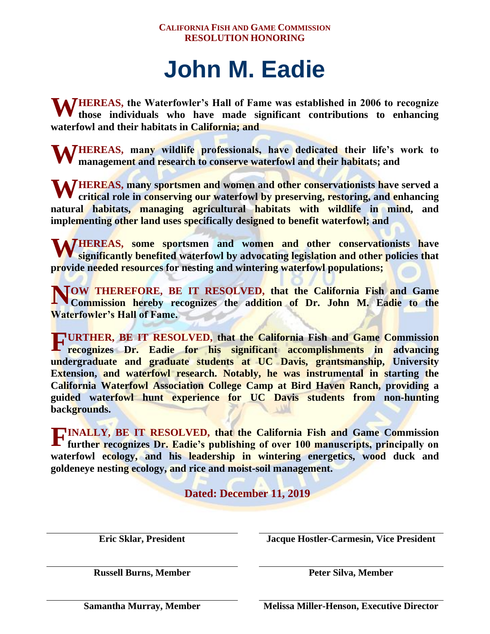### **John M. Eadie**

<span id="page-3-0"></span>**WHEREAS, the Waterfowler's Hall of Fame was established in 2006 to recognize those individuals who have made significant contributions to enhancing those individuals who have made significant contributions to enhancing waterfowl and their habitats in California; and**

**WHEREAS, many wildlife professionals, have dedicated their life's work to management and research to conserve waterfowl and their habitats; and management and research to conserve waterfowl and their habitats; and**

WHEREAS, many sportsmen and women and other conservationists have served a critical role in conserving our waterfowl by preserving, restoring, and enhancing **critical role in conserving our waterfowl by preserving, restoring, and enhancing natural habitats, managing agricultural habitats with wildlife in mind, and implementing other land uses specifically designed to benefit waterfowl; and**

**WEREAS, some sportsmen and women and other conservationists have significantly benefited waterfowl by advocating legislation and other policies that significantly benefited waterfowl by advocating legislation and other policies that provide needed resources for nesting and wintering waterfowl populations;**

**OW THEREFORE, BE IT RESOLVED, that the California Fish and Game Commission hereby recognizes the addition of Dr. John M. Eadie to the Commission hereby recognizes the addition of Dr. John M. Eadie to the Waterfowler's Hall of Fame.**

**URTHER, BE IT RESOLVED, that the California Fish and Game Commission recognizes Dr. Eadie for his significant accomplishments in advancing**  $\mathbf{r}$  **recognizes Dr. Eadie for his significant accomplishments in advancing undergraduate and graduate students at UC Davis, grantsmanship, University Extension, and waterfowl research. Notably, he was instrumental in starting the California Waterfowl Association College Camp at Bird Haven Ranch, providing a guided waterfowl hunt experience for UC Davis students from non-hunting backgrounds.**

**INALLY, BE IT RESOLVED, that the California Fish and Game Commission further recognizes Dr. Eadie's publishing of over 100 manuscripts, principally on further recognizes Dr. Eadie's publishing of over 100 manuscripts, principally on waterfowl ecology, and his leadership in wintering energetics, wood duck and goldeneye nesting ecology, and rice and moist-soil management.**

**Dated: December 11, 2019**

**Eric Sklar, President Jacque Hostler-Carmesin, Vice President**

**Russell Burns, Member Peter Silva, Member**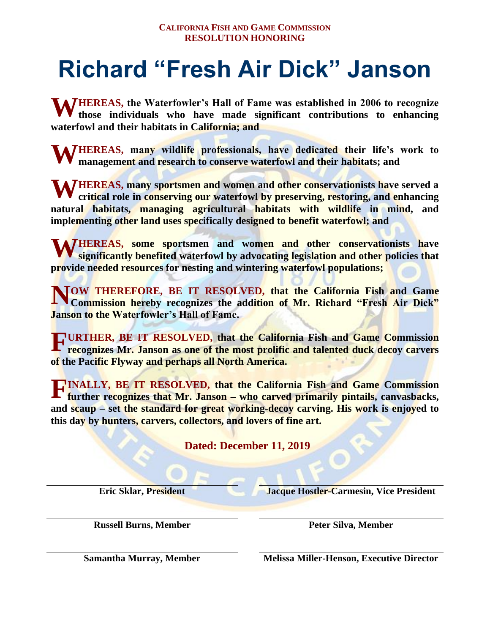### <span id="page-4-0"></span>**Richard "Fresh Air Dick" Janson**

**WHEREAS, the Waterfowler's Hall of Fame was established in 2006 to recognize those individuals who have made significant contributions to enhancing those individuals who have made significant contributions to enhancing waterfowl and their habitats in California; and**

**WHEREAS, many wildlife professionals, have dedicated their life's work to management and research to conserve waterfowl and their habitats; and management and research to conserve waterfowl and their habitats; and**

WHEREAS, many sportsmen and women and other conservationists have served a critical role in conserving our waterfowl by preserving, restoring, and enhancing **critical role in conserving our waterfowl by preserving, restoring, and enhancing natural habitats, managing agricultural habitats with wildlife in mind, and implementing other land uses specifically designed to benefit waterfowl; and**

**WEREAS, some sportsmen and women and other conservationists have significantly benefited waterfowl by advocating legislation and other policies that significantly benefited waterfowl by advocating legislation and other policies that provide needed resources for nesting and wintering waterfowl populations;**

**NOW THEREFORE, BE IT RESOLVED, that the California Fish and Game Commission hereby recognizes the addition of Mr. Richard "Fresh Air Dick" Commission hereby recognizes the addition of Mr. Richard "Fresh Air Dick" Janson to the Waterfowler's Hall of Fame.**

**FURTHER, BE IT RESOLVED, that the California Fish and Game Commission recognizes Mr. Janson as one of the most prolific and talented duck decoy carvers recognizes Mr. Janson as one of the most prolific and talented duck decoy carvers of the Pacific Flyway and perhaps all North America.**

**INALLY, BE IT RESOLVED, that the California Fish and Game Commission further recognizes that Mr. Janson – who carved primarily pintails, canvasbacks, further recognizes that Mr. Janson – who carved primarily pintails, canvasbacks, and scaup – set the standard for great working-decoy carving. His work is enjoyed to this day by hunters, carvers, collectors, and lovers of fine art.**

**Dated: December 11, 2019**

**Eric Sklar, President Jacque Hostler-Carmesin, Vice President** 

**Russell Burns, Member Peter Silva, Member**